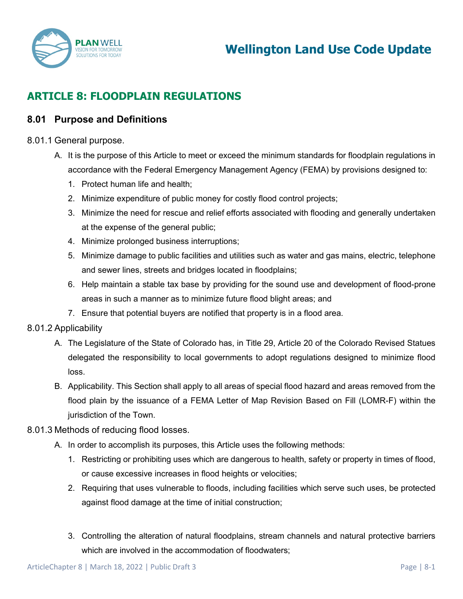

# **ARTICLE 8: FLOODPLAIN REGULATIONS**

## **8.01 Purpose and Definitions**

#### 8.01.1 General purpose.

- A. It is the purpose of this Article to meet or exceed the minimum standards for floodplain regulations in accordance with the Federal Emergency Management Agency (FEMA) by provisions designed to:
	- 1. Protect human life and health;
	- 2. Minimize expenditure of public money for costly flood control projects;
	- 3. Minimize the need for rescue and relief efforts associated with flooding and generally undertaken at the expense of the general public;
	- 4. Minimize prolonged business interruptions;
	- 5. Minimize damage to public facilities and utilities such as water and gas mains, electric, telephone and sewer lines, streets and bridges located in floodplains;
	- 6. Help maintain a stable tax base by providing for the sound use and development of flood-prone areas in such a manner as to minimize future flood blight areas; and
	- 7. Ensure that potential buyers are notified that property is in a flood area.

### 8.01.2 Applicability

- A. The Legislature of the State of Colorado has, in Title 29, Article 20 of the Colorado Revised Statues delegated the responsibility to local governments to adopt regulations designed to minimize flood loss.
- B. Applicability. This Section shall apply to all areas of special flood hazard and areas removed from the flood plain by the issuance of a FEMA Letter of Map Revision Based on Fill (LOMR-F) within the jurisdiction of the Town.

#### 8.01.3 Methods of reducing flood losses.

- A. In order to accomplish its purposes, this Article uses the following methods:
	- 1. Restricting or prohibiting uses which are dangerous to health, safety or property in times of flood, or cause excessive increases in flood heights or velocities;
	- 2. Requiring that uses vulnerable to floods, including facilities which serve such uses, be protected against flood damage at the time of initial construction;
	- 3. Controlling the alteration of natural floodplains, stream channels and natural protective barriers which are involved in the accommodation of floodwaters: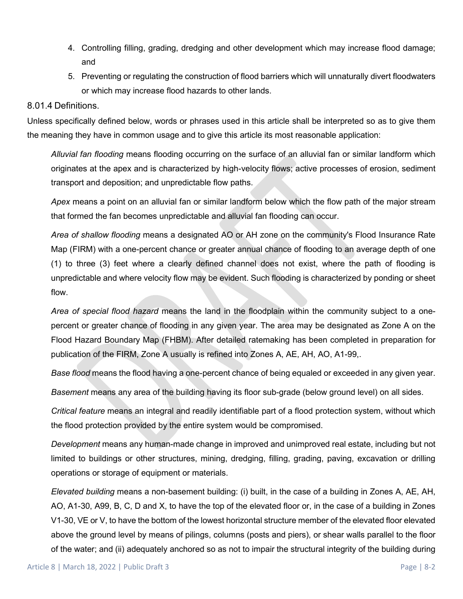- 4. Controlling filling, grading, dredging and other development which may increase flood damage; and
- 5. Preventing or regulating the construction of flood barriers which will unnaturally divert floodwaters or which may increase flood hazards to other lands.

#### 8.01.4 Definitions.

Unless specifically defined below, words or phrases used in this article shall be interpreted so as to give them the meaning they have in common usage and to give this article its most reasonable application:

*Alluvial fan flooding* means flooding occurring on the surface of an alluvial fan or similar landform which originates at the apex and is characterized by high-velocity flows; active processes of erosion, sediment transport and deposition; and unpredictable flow paths.

*Apex* means a point on an alluvial fan or similar landform below which the flow path of the major stream that formed the fan becomes unpredictable and alluvial fan flooding can occur.

*Area of shallow flooding* means a designated AO or AH zone on the community's Flood Insurance Rate Map (FIRM) with a one-percent chance or greater annual chance of flooding to an average depth of one (1) to three (3) feet where a clearly defined channel does not exist, where the path of flooding is unpredictable and where velocity flow may be evident. Such flooding is characterized by ponding or sheet flow.

*Area of special flood hazard* means the land in the floodplain within the community subject to a onepercent or greater chance of flooding in any given year. The area may be designated as Zone A on the Flood Hazard Boundary Map (FHBM). After detailed ratemaking has been completed in preparation for publication of the FIRM, Zone A usually is refined into Zones A, AE, AH, AO, A1-99,.

*Base flood* means the flood having a one-percent chance of being equaled or exceeded in any given year.

*Basement* means any area of the building having its floor sub-grade (below ground level) on all sides.

*Critical feature* means an integral and readily identifiable part of a flood protection system, without which the flood protection provided by the entire system would be compromised.

*Development* means any human-made change in improved and unimproved real estate, including but not limited to buildings or other structures, mining, dredging, filling, grading, paving, excavation or drilling operations or storage of equipment or materials.

*Elevated building* means a non-basement building: (i) built, in the case of a building in Zones A, AE, AH, AO, A1-30, A99, B, C, D and X, to have the top of the elevated floor or, in the case of a building in Zones V1-30, VE or V, to have the bottom of the lowest horizontal structure member of the elevated floor elevated above the ground level by means of pilings, columns (posts and piers), or shear walls parallel to the floor of the water; and (ii) adequately anchored so as not to impair the structural integrity of the building during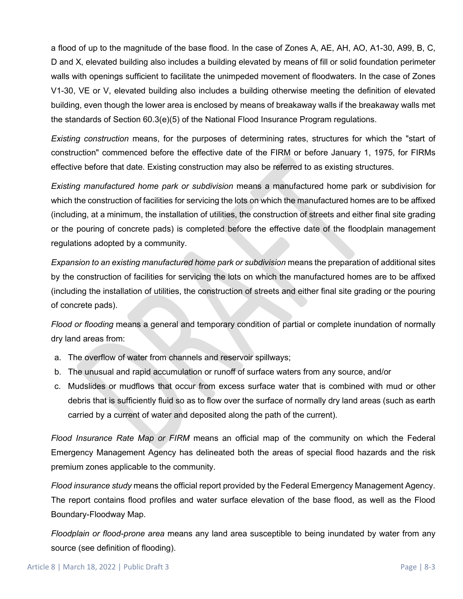a flood of up to the magnitude of the base flood. In the case of Zones A, AE, AH, AO, A1-30, A99, B, C, D and X, elevated building also includes a building elevated by means of fill or solid foundation perimeter walls with openings sufficient to facilitate the unimpeded movement of floodwaters. In the case of Zones V1-30, VE or V, elevated building also includes a building otherwise meeting the definition of elevated building, even though the lower area is enclosed by means of breakaway walls if the breakaway walls met the standards of Section 60.3(e)(5) of the National Flood Insurance Program regulations.

*Existing construction* means, for the purposes of determining rates, structures for which the "start of construction" commenced before the effective date of the FIRM or before January 1, 1975, for FIRMs effective before that date. Existing construction may also be referred to as existing structures.

*Existing manufactured home park or subdivision* means a manufactured home park or subdivision for which the construction of facilities for servicing the lots on which the manufactured homes are to be affixed (including, at a minimum, the installation of utilities, the construction of streets and either final site grading or the pouring of concrete pads) is completed before the effective date of the floodplain management regulations adopted by a community.

*Expansion to an existing manufactured home park or subdivision* means the preparation of additional sites by the construction of facilities for servicing the lots on which the manufactured homes are to be affixed (including the installation of utilities, the construction of streets and either final site grading or the pouring of concrete pads).

*Flood or flooding* means a general and temporary condition of partial or complete inundation of normally dry land areas from:

- a. The overflow of water from channels and reservoir spillways;
- b. The unusual and rapid accumulation or runoff of surface waters from any source, and/or
- c. Mudslides or mudflows that occur from excess surface water that is combined with mud or other debris that is sufficiently fluid so as to flow over the surface of normally dry land areas (such as earth carried by a current of water and deposited along the path of the current).

*Flood Insurance Rate Map or FIRM* means an official map of the community on which the Federal Emergency Management Agency has delineated both the areas of special flood hazards and the risk premium zones applicable to the community.

*Flood insurance study* means the official report provided by the Federal Emergency Management Agency. The report contains flood profiles and water surface elevation of the base flood, as well as the Flood Boundary-Floodway Map.

*Floodplain or flood-prone area* means any land area susceptible to being inundated by water from any source (see definition of flooding).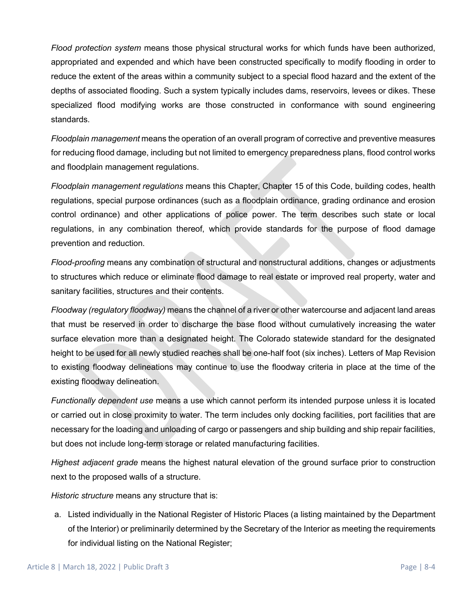*Flood protection system* means those physical structural works for which funds have been authorized, appropriated and expended and which have been constructed specifically to modify flooding in order to reduce the extent of the areas within a community subject to a special flood hazard and the extent of the depths of associated flooding. Such a system typically includes dams, reservoirs, levees or dikes. These specialized flood modifying works are those constructed in conformance with sound engineering standards.

*Floodplain management* means the operation of an overall program of corrective and preventive measures for reducing flood damage, including but not limited to emergency preparedness plans, flood control works and floodplain management regulations.

*Floodplain management regulations* means this Chapter, Chapter 15 of this Code, building codes, health regulations, special purpose ordinances (such as a floodplain ordinance, grading ordinance and erosion control ordinance) and other applications of police power. The term describes such state or local regulations, in any combination thereof, which provide standards for the purpose of flood damage prevention and reduction.

*Flood-proofing* means any combination of structural and nonstructural additions, changes or adjustments to structures which reduce or eliminate flood damage to real estate or improved real property, water and sanitary facilities, structures and their contents.

*Floodway (regulatory floodway)* means the channel of a river or other watercourse and adjacent land areas that must be reserved in order to discharge the base flood without cumulatively increasing the water surface elevation more than a designated height. The Colorado statewide standard for the designated height to be used for all newly studied reaches shall be one-half foot (six inches). Letters of Map Revision to existing floodway delineations may continue to use the floodway criteria in place at the time of the existing floodway delineation.

*Functionally dependent use* means a use which cannot perform its intended purpose unless it is located or carried out in close proximity to water. The term includes only docking facilities, port facilities that are necessary for the loading and unloading of cargo or passengers and ship building and ship repair facilities, but does not include long-term storage or related manufacturing facilities.

*Highest adjacent grade* means the highest natural elevation of the ground surface prior to construction next to the proposed walls of a structure.

*Historic structure* means any structure that is:

a. Listed individually in the National Register of Historic Places (a listing maintained by the Department of the Interior) or preliminarily determined by the Secretary of the Interior as meeting the requirements for individual listing on the National Register;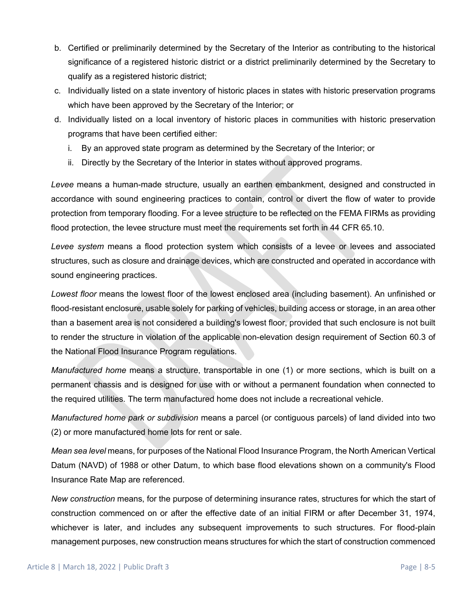- b. Certified or preliminarily determined by the Secretary of the Interior as contributing to the historical significance of a registered historic district or a district preliminarily determined by the Secretary to qualify as a registered historic district;
- c. Individually listed on a state inventory of historic places in states with historic preservation programs which have been approved by the Secretary of the Interior; or
- d. Individually listed on a local inventory of historic places in communities with historic preservation programs that have been certified either:
	- i. By an approved state program as determined by the Secretary of the Interior; or
	- ii. Directly by the Secretary of the Interior in states without approved programs.

*Levee* means a human-made structure, usually an earthen embankment, designed and constructed in accordance with sound engineering practices to contain, control or divert the flow of water to provide protection from temporary flooding. For a levee structure to be reflected on the FEMA FIRMs as providing flood protection, the levee structure must meet the requirements set forth in 44 CFR 65.10.

*Levee system* means a flood protection system which consists of a levee or levees and associated structures, such as closure and drainage devices, which are constructed and operated in accordance with sound engineering practices.

*Lowest floor* means the lowest floor of the lowest enclosed area (including basement). An unfinished or flood-resistant enclosure, usable solely for parking of vehicles, building access or storage, in an area other than a basement area is not considered a building's lowest floor, provided that such enclosure is not built to render the structure in violation of the applicable non-elevation design requirement of Section 60.3 of the National Flood Insurance Program regulations.

*Manufactured home* means a structure, transportable in one (1) or more sections, which is built on a permanent chassis and is designed for use with or without a permanent foundation when connected to the required utilities. The term manufactured home does not include a recreational vehicle.

*Manufactured home park or subdivision* means a parcel (or contiguous parcels) of land divided into two (2) or more manufactured home lots for rent or sale.

*Mean sea level* means, for purposes of the National Flood Insurance Program, the North American Vertical Datum (NAVD) of 1988 or other Datum, to which base flood elevations shown on a community's Flood Insurance Rate Map are referenced.

*New construction* means, for the purpose of determining insurance rates, structures for which the start of construction commenced on or after the effective date of an initial FIRM or after December 31, 1974, whichever is later, and includes any subsequent improvements to such structures. For flood-plain management purposes, new construction means structures for which the start of construction commenced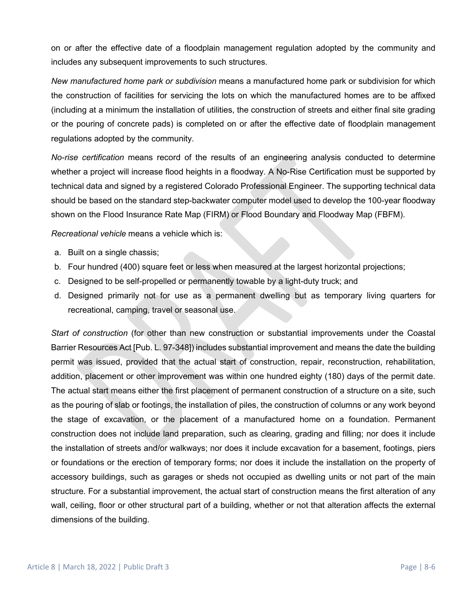on or after the effective date of a floodplain management regulation adopted by the community and includes any subsequent improvements to such structures.

*New manufactured home park or subdivision* means a manufactured home park or subdivision for which the construction of facilities for servicing the lots on which the manufactured homes are to be affixed (including at a minimum the installation of utilities, the construction of streets and either final site grading or the pouring of concrete pads) is completed on or after the effective date of floodplain management regulations adopted by the community.

*No-rise certification* means record of the results of an engineering analysis conducted to determine whether a project will increase flood heights in a floodway. A No-Rise Certification must be supported by technical data and signed by a registered Colorado Professional Engineer. The supporting technical data should be based on the standard step-backwater computer model used to develop the 100-year floodway shown on the Flood Insurance Rate Map (FIRM) or Flood Boundary and Floodway Map (FBFM).

*Recreational vehicle* means a vehicle which is:

- a. Built on a single chassis;
- b. Four hundred (400) square feet or less when measured at the largest horizontal projections;
- c. Designed to be self-propelled or permanently towable by a light-duty truck; and
- d. Designed primarily not for use as a permanent dwelling but as temporary living quarters for recreational, camping, travel or seasonal use.

*Start of construction* (for other than new construction or substantial improvements under the Coastal Barrier Resources Act [Pub. L. 97-348]) includes substantial improvement and means the date the building permit was issued, provided that the actual start of construction, repair, reconstruction, rehabilitation, addition, placement or other improvement was within one hundred eighty (180) days of the permit date. The actual start means either the first placement of permanent construction of a structure on a site, such as the pouring of slab or footings, the installation of piles, the construction of columns or any work beyond the stage of excavation, or the placement of a manufactured home on a foundation. Permanent construction does not include land preparation, such as clearing, grading and filling; nor does it include the installation of streets and/or walkways; nor does it include excavation for a basement, footings, piers or foundations or the erection of temporary forms; nor does it include the installation on the property of accessory buildings, such as garages or sheds not occupied as dwelling units or not part of the main structure. For a substantial improvement, the actual start of construction means the first alteration of any wall, ceiling, floor or other structural part of a building, whether or not that alteration affects the external dimensions of the building.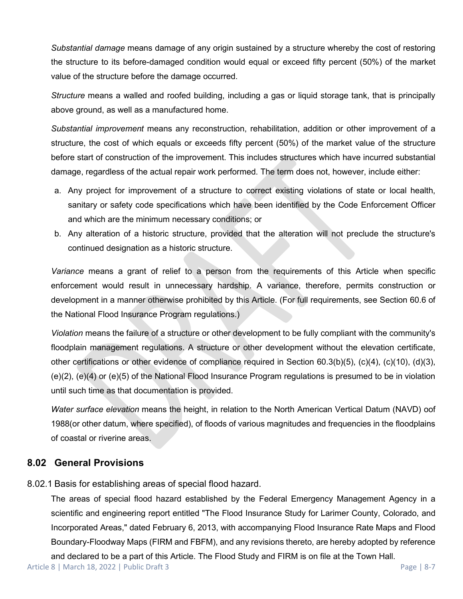*Substantial damage* means damage of any origin sustained by a structure whereby the cost of restoring the structure to its before-damaged condition would equal or exceed fifty percent (50%) of the market value of the structure before the damage occurred.

*Structure* means a walled and roofed building, including a gas or liquid storage tank, that is principally above ground, as well as a manufactured home.

*Substantial improvement* means any reconstruction, rehabilitation, addition or other improvement of a structure, the cost of which equals or exceeds fifty percent (50%) of the market value of the structure before start of construction of the improvement. This includes structures which have incurred substantial damage, regardless of the actual repair work performed. The term does not, however, include either:

- a. Any project for improvement of a structure to correct existing violations of state or local health, sanitary or safety code specifications which have been identified by the Code Enforcement Officer and which are the minimum necessary conditions; or
- b. Any alteration of a historic structure, provided that the alteration will not preclude the structure's continued designation as a historic structure.

*Variance* means a grant of relief to a person from the requirements of this Article when specific enforcement would result in unnecessary hardship. A variance, therefore, permits construction or development in a manner otherwise prohibited by this Article. (For full requirements, see Section 60.6 of the National Flood Insurance Program regulations.)

*Violation* means the failure of a structure or other development to be fully compliant with the community's floodplain management regulations. A structure or other development without the elevation certificate, other certifications or other evidence of compliance required in Section 60.3(b)(5), (c)(4), (c)(10), (d)(3), (e)(2), (e)(4) or (e)(5) of the National Flood Insurance Program regulations is presumed to be in violation until such time as that documentation is provided.

*Water surface elevation* means the height, in relation to the North American Vertical Datum (NAVD) oof 1988(or other datum, where specified), of floods of various magnitudes and frequencies in the floodplains of coastal or riverine areas.

## **8.02 General Provisions**

8.02.1 Basis for establishing areas of special flood hazard.

The areas of special flood hazard established by the Federal Emergency Management Agency in a scientific and engineering report entitled "The Flood Insurance Study for Larimer County, Colorado, and Incorporated Areas," dated February 6, 2013, with accompanying Flood Insurance Rate Maps and Flood Boundary-Floodway Maps (FIRM and FBFM), and any revisions thereto, are hereby adopted by reference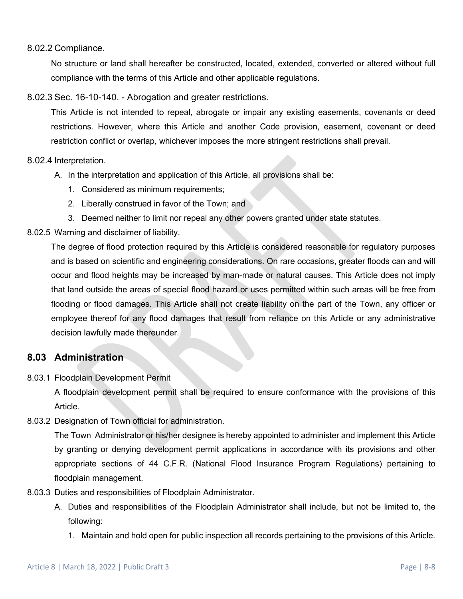#### 8.02.2 Compliance.

No structure or land shall hereafter be constructed, located, extended, converted or altered without full compliance with the terms of this Article and other applicable regulations.

#### 8.02.3 Sec. 16-10-140. - Abrogation and greater restrictions.

This Article is not intended to repeal, abrogate or impair any existing easements, covenants or deed restrictions. However, where this Article and another Code provision, easement, covenant or deed restriction conflict or overlap, whichever imposes the more stringent restrictions shall prevail.

#### 8.02.4 Interpretation.

- A. In the interpretation and application of this Article, all provisions shall be:
	- 1. Considered as minimum requirements;
	- 2. Liberally construed in favor of the Town; and
	- 3. Deemed neither to limit nor repeal any other powers granted under state statutes.

#### 8.02.5 Warning and disclaimer of liability.

The degree of flood protection required by this Article is considered reasonable for regulatory purposes and is based on scientific and engineering considerations. On rare occasions, greater floods can and will occur and flood heights may be increased by man-made or natural causes. This Article does not imply that land outside the areas of special flood hazard or uses permitted within such areas will be free from flooding or flood damages. This Article shall not create liability on the part of the Town, any officer or employee thereof for any flood damages that result from reliance on this Article or any administrative decision lawfully made thereunder.

## **8.03 Administration**

8.03.1 Floodplain Development Permit

A floodplain development permit shall be required to ensure conformance with the provisions of this Article.

8.03.2 Designation of Town official for administration.

The Town Administrator or his/her designee is hereby appointed to administer and implement this Article by granting or denying development permit applications in accordance with its provisions and other appropriate sections of 44 C.F.R. (National Flood Insurance Program Regulations) pertaining to floodplain management.

- 8.03.3 Duties and responsibilities of Floodplain Administrator.
	- A. Duties and responsibilities of the Floodplain Administrator shall include, but not be limited to, the following:
		- 1. Maintain and hold open for public inspection all records pertaining to the provisions of this Article.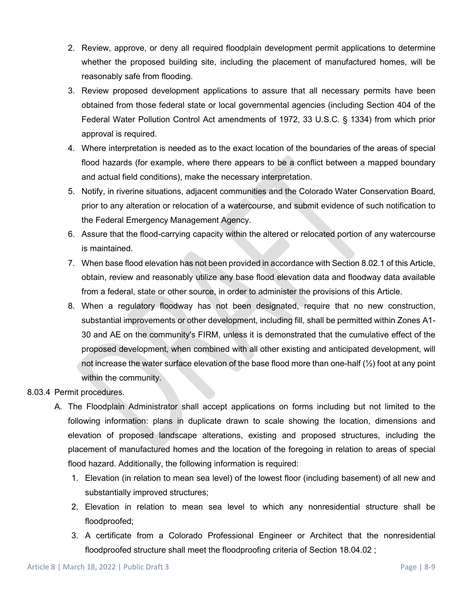- 2. Review, approve, or deny all required floodplain development permit applications to determine whether the proposed building site, including the placement of manufactured homes, will be reasonably safe from flooding.
- 3. Review proposed development applications to assure that all necessary permits have been obtained from those federal state or local governmental agencies (including Section 404 of the Federal Water Pollution Control Act amendments of 1972, 33 U.S.C. § 1334) from which prior approval is required.
- 4. Where interpretation is needed as to the exact location of the boundaries of the areas of special flood hazards (for example, where there appears to be a conflict between a mapped boundary and actual field conditions), make the necessary interpretation.
- 5. Notify, in riverine situations, adjacent communities and the Colorado Water Conservation Board, prior to any alteration or relocation of a watercourse, and submit evidence of such notification to the Federal Emergency Management Agency.
- 6. Assure that the flood-carrying capacity within the altered or relocated portion of any watercourse is maintained.
- 7. When base flood elevation has not been provided in accordance with Section 8.02.1 of this Article, obtain, review and reasonably utilize any base flood elevation data and floodway data available from a federal, state or other source, in order to administer the provisions of this Article.
- 8. When a regulatory floodway has not been designated, require that no new construction, substantial improvements or other development, including fill, shall be permitted within Zones A1- 30 and AE on the community's FIRM, unless it is demonstrated that the cumulative effect of the proposed development, when combined with all other existing and anticipated development, will not increase the water surface elevation of the base flood more than one-half (½) foot at any point within the community.

#### 8.03.4 Permit procedures.

- A. The Floodplain Administrator shall accept applications on forms including but not limited to the following information: plans in duplicate drawn to scale showing the location, dimensions and elevation of proposed landscape alterations, existing and proposed structures, including the placement of manufactured homes and the location of the foregoing in relation to areas of special flood hazard. Additionally, the following information is required:
	- 1. Elevation (in relation to mean sea level) of the lowest floor (including basement) of all new and substantially improved structures;
	- 2. Elevation in relation to mean sea level to which any nonresidential structure shall be floodproofed;
	- 3. A certificate from a Colorado Professional Engineer or Architect that the nonresidential floodproofed structure shall meet the floodproofing criteria of Section 18.04.02 ;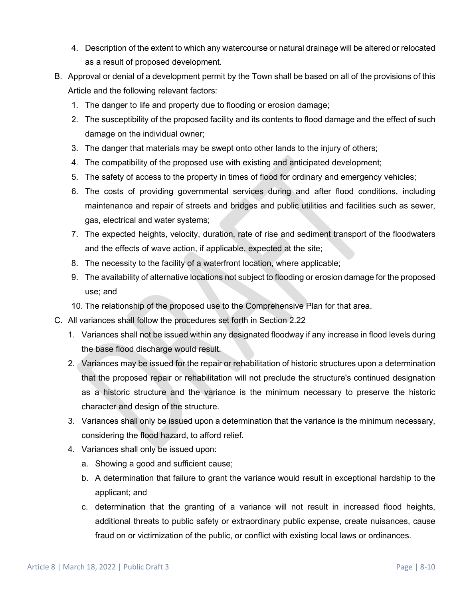- 4. Description of the extent to which any watercourse or natural drainage will be altered or relocated as a result of proposed development.
- B. Approval or denial of a development permit by the Town shall be based on all of the provisions of this Article and the following relevant factors:
	- 1. The danger to life and property due to flooding or erosion damage;
	- 2. The susceptibility of the proposed facility and its contents to flood damage and the effect of such damage on the individual owner;
	- 3. The danger that materials may be swept onto other lands to the injury of others;
	- 4. The compatibility of the proposed use with existing and anticipated development;
	- 5. The safety of access to the property in times of flood for ordinary and emergency vehicles;
	- 6. The costs of providing governmental services during and after flood conditions, including maintenance and repair of streets and bridges and public utilities and facilities such as sewer, gas, electrical and water systems;
	- 7. The expected heights, velocity, duration, rate of rise and sediment transport of the floodwaters and the effects of wave action, if applicable, expected at the site;
	- 8. The necessity to the facility of a waterfront location, where applicable;
	- 9. The availability of alternative locations not subject to flooding or erosion damage for the proposed use; and
	- 10. The relationship of the proposed use to the Comprehensive Plan for that area.
- C. All variances shall follow the procedures set forth in Section 2.22
	- 1. Variances shall not be issued within any designated floodway if any increase in flood levels during the base flood discharge would result.
	- 2. Variances may be issued for the repair or rehabilitation of historic structures upon a determination that the proposed repair or rehabilitation will not preclude the structure's continued designation as a historic structure and the variance is the minimum necessary to preserve the historic character and design of the structure.
	- 3. Variances shall only be issued upon a determination that the variance is the minimum necessary, considering the flood hazard, to afford relief.
	- 4. Variances shall only be issued upon:
		- a. Showing a good and sufficient cause;
		- b. A determination that failure to grant the variance would result in exceptional hardship to the applicant; and
		- c. determination that the granting of a variance will not result in increased flood heights, additional threats to public safety or extraordinary public expense, create nuisances, cause fraud on or victimization of the public, or conflict with existing local laws or ordinances.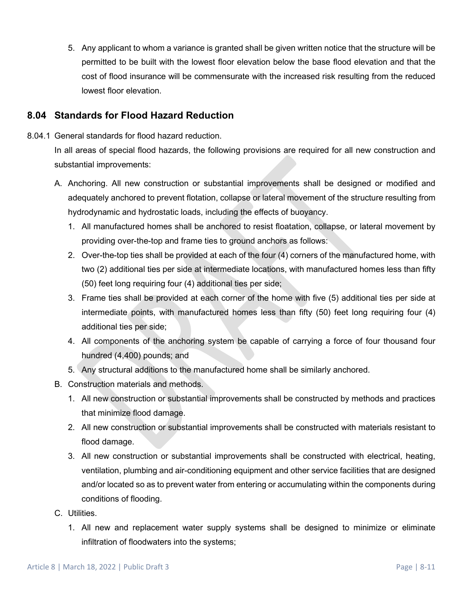5. Any applicant to whom a variance is granted shall be given written notice that the structure will be permitted to be built with the lowest floor elevation below the base flood elevation and that the cost of flood insurance will be commensurate with the increased risk resulting from the reduced lowest floor elevation.

# **8.04 Standards for Flood Hazard Reduction**

8.04.1 General standards for flood hazard reduction.

In all areas of special flood hazards, the following provisions are required for all new construction and substantial improvements:

- A. Anchoring. All new construction or substantial improvements shall be designed or modified and adequately anchored to prevent flotation, collapse or lateral movement of the structure resulting from hydrodynamic and hydrostatic loads, including the effects of buoyancy.
	- 1. All manufactured homes shall be anchored to resist floatation, collapse, or lateral movement by providing over-the-top and frame ties to ground anchors as follows:
	- 2. Over-the-top ties shall be provided at each of the four (4) corners of the manufactured home, with two (2) additional ties per side at intermediate locations, with manufactured homes less than fifty (50) feet long requiring four (4) additional ties per side;
	- 3. Frame ties shall be provided at each corner of the home with five (5) additional ties per side at intermediate points, with manufactured homes less than fifty (50) feet long requiring four (4) additional ties per side;
	- 4. All components of the anchoring system be capable of carrying a force of four thousand four hundred (4,400) pounds; and
	- 5. Any structural additions to the manufactured home shall be similarly anchored.
- B. Construction materials and methods.
	- 1. All new construction or substantial improvements shall be constructed by methods and practices that minimize flood damage.
	- 2. All new construction or substantial improvements shall be constructed with materials resistant to flood damage.
	- 3. All new construction or substantial improvements shall be constructed with electrical, heating, ventilation, plumbing and air-conditioning equipment and other service facilities that are designed and/or located so as to prevent water from entering or accumulating within the components during conditions of flooding.
- C. Utilities.
	- 1. All new and replacement water supply systems shall be designed to minimize or eliminate infiltration of floodwaters into the systems;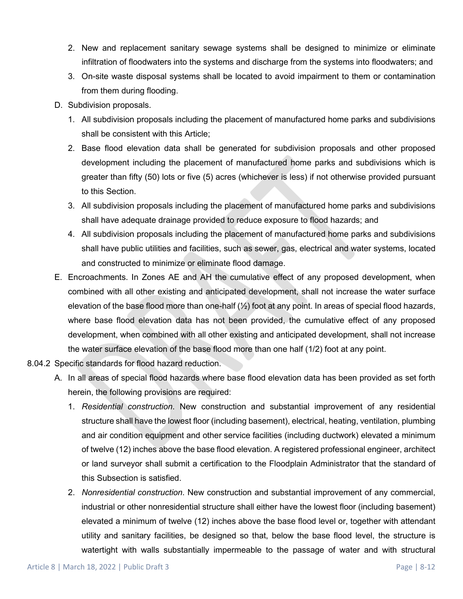- 2. New and replacement sanitary sewage systems shall be designed to minimize or eliminate infiltration of floodwaters into the systems and discharge from the systems into floodwaters; and
- 3. On-site waste disposal systems shall be located to avoid impairment to them or contamination from them during flooding.
- D. Subdivision proposals.
	- 1. All subdivision proposals including the placement of manufactured home parks and subdivisions shall be consistent with this Article;
	- 2. Base flood elevation data shall be generated for subdivision proposals and other proposed development including the placement of manufactured home parks and subdivisions which is greater than fifty (50) lots or five (5) acres (whichever is less) if not otherwise provided pursuant to this Section.
	- 3. All subdivision proposals including the placement of manufactured home parks and subdivisions shall have adequate drainage provided to reduce exposure to flood hazards; and
	- 4. All subdivision proposals including the placement of manufactured home parks and subdivisions shall have public utilities and facilities, such as sewer, gas, electrical and water systems, located and constructed to minimize or eliminate flood damage.
- E. Encroachments. In Zones AE and AH the cumulative effect of any proposed development, when combined with all other existing and anticipated development, shall not increase the water surface elevation of the base flood more than one-half  $(\frac{1}{2})$  foot at any point. In areas of special flood hazards, where base flood elevation data has not been provided, the cumulative effect of any proposed development, when combined with all other existing and anticipated development, shall not increase the water surface elevation of the base flood more than one half (1/2) foot at any point.
- 8.04.2 Specific standards for flood hazard reduction.
	- A. In all areas of special flood hazards where base flood elevation data has been provided as set forth herein, the following provisions are required:
		- 1. *Residential construction*. New construction and substantial improvement of any residential structure shall have the lowest floor (including basement), electrical, heating, ventilation, plumbing and air condition equipment and other service facilities (including ductwork) elevated a minimum of twelve (12) inches above the base flood elevation. A registered professional engineer, architect or land surveyor shall submit a certification to the Floodplain Administrator that the standard of this Subsection is satisfied.
		- 2. *Nonresidential construction*. New construction and substantial improvement of any commercial, industrial or other nonresidential structure shall either have the lowest floor (including basement) elevated a minimum of twelve (12) inches above the base flood level or, together with attendant utility and sanitary facilities, be designed so that, below the base flood level, the structure is watertight with walls substantially impermeable to the passage of water and with structural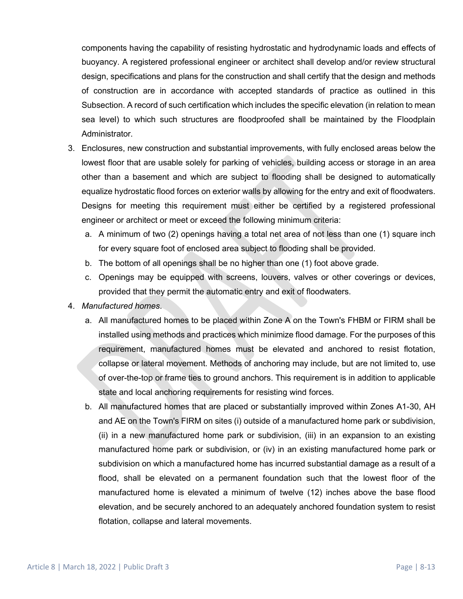components having the capability of resisting hydrostatic and hydrodynamic loads and effects of buoyancy. A registered professional engineer or architect shall develop and/or review structural design, specifications and plans for the construction and shall certify that the design and methods of construction are in accordance with accepted standards of practice as outlined in this Subsection. A record of such certification which includes the specific elevation (in relation to mean sea level) to which such structures are floodproofed shall be maintained by the Floodplain Administrator.

- 3. Enclosures, new construction and substantial improvements, with fully enclosed areas below the lowest floor that are usable solely for parking of vehicles, building access or storage in an area other than a basement and which are subject to flooding shall be designed to automatically equalize hydrostatic flood forces on exterior walls by allowing for the entry and exit of floodwaters. Designs for meeting this requirement must either be certified by a registered professional engineer or architect or meet or exceed the following minimum criteria:
	- a. A minimum of two (2) openings having a total net area of not less than one (1) square inch for every square foot of enclosed area subject to flooding shall be provided.
	- b. The bottom of all openings shall be no higher than one (1) foot above grade.
	- c. Openings may be equipped with screens, louvers, valves or other coverings or devices, provided that they permit the automatic entry and exit of floodwaters.
- 4. *Manufactured homes*.
	- a. All manufactured homes to be placed within Zone A on the Town's FHBM or FIRM shall be installed using methods and practices which minimize flood damage. For the purposes of this requirement, manufactured homes must be elevated and anchored to resist flotation, collapse or lateral movement. Methods of anchoring may include, but are not limited to, use of over-the-top or frame ties to ground anchors. This requirement is in addition to applicable state and local anchoring requirements for resisting wind forces.
	- b. All manufactured homes that are placed or substantially improved within Zones A1-30, AH and AE on the Town's FIRM on sites (i) outside of a manufactured home park or subdivision, (ii) in a new manufactured home park or subdivision, (iii) in an expansion to an existing manufactured home park or subdivision, or (iv) in an existing manufactured home park or subdivision on which a manufactured home has incurred substantial damage as a result of a flood, shall be elevated on a permanent foundation such that the lowest floor of the manufactured home is elevated a minimum of twelve (12) inches above the base flood elevation, and be securely anchored to an adequately anchored foundation system to resist flotation, collapse and lateral movements.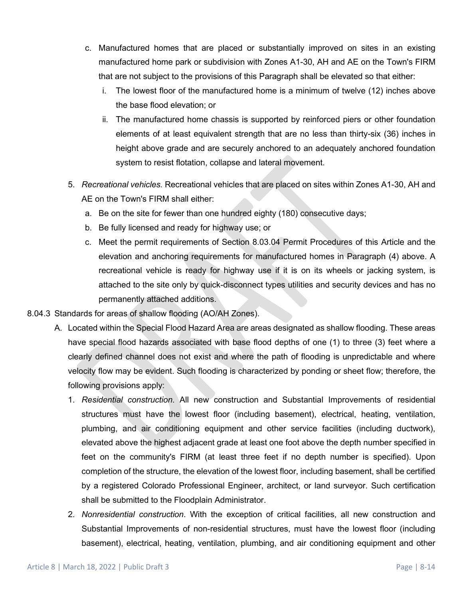- c. Manufactured homes that are placed or substantially improved on sites in an existing manufactured home park or subdivision with Zones A1-30, AH and AE on the Town's FIRM that are not subject to the provisions of this Paragraph shall be elevated so that either:
	- i. The lowest floor of the manufactured home is a minimum of twelve (12) inches above the base flood elevation; or
	- ii. The manufactured home chassis is supported by reinforced piers or other foundation elements of at least equivalent strength that are no less than thirty-six (36) inches in height above grade and are securely anchored to an adequately anchored foundation system to resist flotation, collapse and lateral movement.
- 5. *Recreational vehicles.* Recreational vehicles that are placed on sites within Zones A1-30, AH and AE on the Town's FIRM shall either:
	- a. Be on the site for fewer than one hundred eighty (180) consecutive days;
	- b. Be fully licensed and ready for highway use; or
	- c. Meet the permit requirements of Section 8.03.04 Permit Procedures of this Article and the elevation and anchoring requirements for manufactured homes in Paragraph (4) above. A recreational vehicle is ready for highway use if it is on its wheels or jacking system, is attached to the site only by quick-disconnect types utilities and security devices and has no permanently attached additions.
- 8.04.3 Standards for areas of shallow flooding (AO/AH Zones).
	- A. Located within the Special Flood Hazard Area are areas designated as shallow flooding. These areas have special flood hazards associated with base flood depths of one (1) to three (3) feet where a clearly defined channel does not exist and where the path of flooding is unpredictable and where velocity flow may be evident. Such flooding is characterized by ponding or sheet flow; therefore, the following provisions apply:
		- 1. *Residential construction*. All new construction and Substantial Improvements of residential structures must have the lowest floor (including basement), electrical, heating, ventilation, plumbing, and air conditioning equipment and other service facilities (including ductwork), elevated above the highest adjacent grade at least one foot above the depth number specified in feet on the community's FIRM (at least three feet if no depth number is specified). Upon completion of the structure, the elevation of the lowest floor, including basement, shall be certified by a registered Colorado Professional Engineer, architect, or land surveyor. Such certification shall be submitted to the Floodplain Administrator.
		- 2. *Nonresidential construction*. With the exception of critical facilities, all new construction and Substantial Improvements of non-residential structures, must have the lowest floor (including basement), electrical, heating, ventilation, plumbing, and air conditioning equipment and other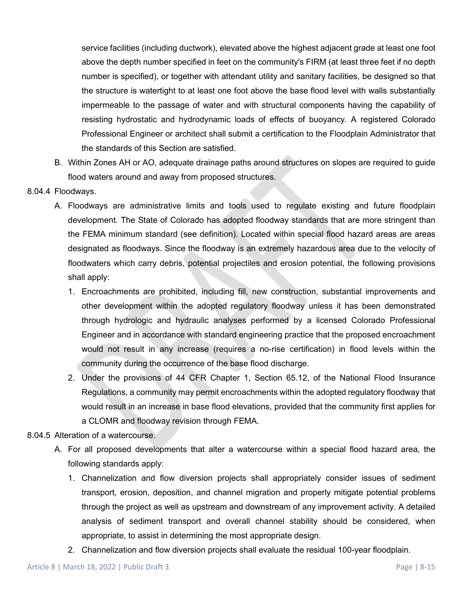service facilities (including ductwork), elevated above the highest adjacent grade at least one foot above the depth number specified in feet on the community's FIRM (at least three feet if no depth number is specified), or together with attendant utility and sanitary facilities, be designed so that the structure is watertight to at least one foot above the base flood level with walls substantially impermeable to the passage of water and with structural components having the capability of resisting hydrostatic and hydrodynamic loads of effects of buoyancy. A registered Colorado Professional Engineer or architect shall submit a certification to the Floodplain Administrator that the standards of this Section are satisfied.

- B. Within Zones AH or AO, adequate drainage paths around structures on slopes are required to guide flood waters around and away from proposed structures.
- 8.04.4 Floodways.
	- A. Floodways are administrative limits and tools used to regulate existing and future floodplain development. The State of Colorado has adopted floodway standards that are more stringent than the FEMA minimum standard (see definition). Located within special flood hazard areas are areas designated as floodways. Since the floodway is an extremely hazardous area due to the velocity of floodwaters which carry debris, potential projectiles and erosion potential, the following provisions shall apply:
		- 1. Encroachments are prohibited, including fill, new construction, substantial improvements and other development within the adopted regulatory floodway unless it has been demonstrated through hydrologic and hydraulic analyses performed by a licensed Colorado Professional Engineer and in accordance with standard engineering practice that the proposed encroachment would not result in any increase (requires a no-rise certification) in flood levels within the community during the occurrence of the base flood discharge.
		- 2. Under the provisions of 44 CFR Chapter 1, Section 65.12, of the National Flood Insurance Regulations, a community may permit encroachments within the adopted regulatory floodway that would result in an increase in base flood elevations, provided that the community first applies for a CLOMR and floodway revision through FEMA.
- 8.04.5 Alteration of a watercourse.
	- A. For all proposed developments that alter a watercourse within a special flood hazard area, the following standards apply:
		- 1. Channelization and flow diversion projects shall appropriately consider issues of sediment transport, erosion, deposition, and channel migration and properly mitigate potential problems through the project as well as upstream and downstream of any improvement activity. A detailed analysis of sediment transport and overall channel stability should be considered, when appropriate, to assist in determining the most appropriate design.
		- 2. Channelization and flow diversion projects shall evaluate the residual 100-year floodplain.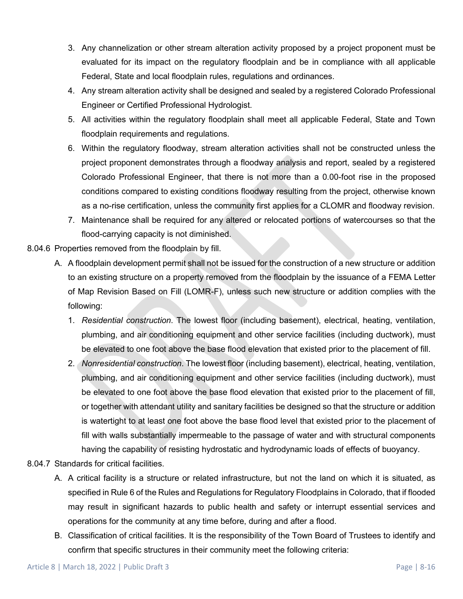- 3. Any channelization or other stream alteration activity proposed by a project proponent must be evaluated for its impact on the regulatory floodplain and be in compliance with all applicable Federal, State and local floodplain rules, regulations and ordinances.
- 4. Any stream alteration activity shall be designed and sealed by a registered Colorado Professional Engineer or Certified Professional Hydrologist.
- 5. All activities within the regulatory floodplain shall meet all applicable Federal, State and Town floodplain requirements and regulations.
- 6. Within the regulatory floodway, stream alteration activities shall not be constructed unless the project proponent demonstrates through a floodway analysis and report, sealed by a registered Colorado Professional Engineer, that there is not more than a 0.00-foot rise in the proposed conditions compared to existing conditions floodway resulting from the project, otherwise known as a no-rise certification, unless the community first applies for a CLOMR and floodway revision.
- 7. Maintenance shall be required for any altered or relocated portions of watercourses so that the flood-carrying capacity is not diminished.
- 8.04.6 Properties removed from the floodplain by fill.
	- A. A floodplain development permit shall not be issued for the construction of a new structure or addition to an existing structure on a property removed from the floodplain by the issuance of a FEMA Letter of Map Revision Based on Fill (LOMR-F), unless such new structure or addition complies with the following:
		- 1. *Residential construction*. The lowest floor (including basement), electrical, heating, ventilation, plumbing, and air conditioning equipment and other service facilities (including ductwork), must be elevated to one foot above the base flood elevation that existed prior to the placement of fill.
		- 2. *Nonresidential construction*. The lowest floor (including basement), electrical, heating, ventilation, plumbing, and air conditioning equipment and other service facilities (including ductwork), must be elevated to one foot above the base flood elevation that existed prior to the placement of fill, or together with attendant utility and sanitary facilities be designed so that the structure or addition is watertight to at least one foot above the base flood level that existed prior to the placement of fill with walls substantially impermeable to the passage of water and with structural components having the capability of resisting hydrostatic and hydrodynamic loads of effects of buoyancy.
- 8.04.7 Standards for critical facilities.
	- A. A critical facility is a structure or related infrastructure, but not the land on which it is situated, as specified in Rule 6 of the Rules and Regulations for Regulatory Floodplains in Colorado, that if flooded may result in significant hazards to public health and safety or interrupt essential services and operations for the community at any time before, during and after a flood.
	- B. Classification of critical facilities. It is the responsibility of the Town Board of Trustees to identify and confirm that specific structures in their community meet the following criteria: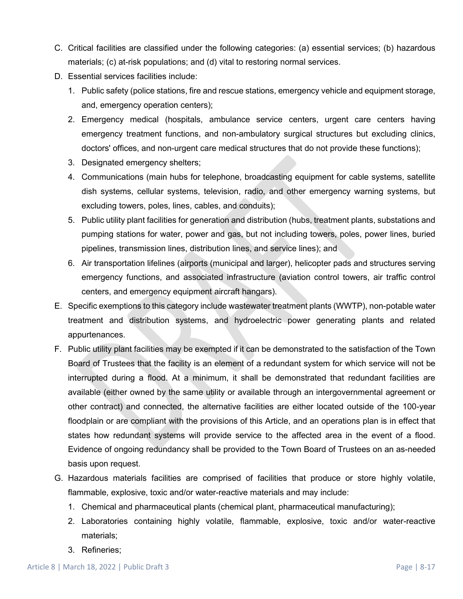- C. Critical facilities are classified under the following categories: (a) essential services; (b) hazardous materials; (c) at-risk populations; and (d) vital to restoring normal services.
- D. Essential services facilities include:
	- 1. Public safety (police stations, fire and rescue stations, emergency vehicle and equipment storage, and, emergency operation centers);
	- 2. Emergency medical (hospitals, ambulance service centers, urgent care centers having emergency treatment functions, and non-ambulatory surgical structures but excluding clinics, doctors' offices, and non-urgent care medical structures that do not provide these functions);
	- 3. Designated emergency shelters;
	- 4. Communications (main hubs for telephone, broadcasting equipment for cable systems, satellite dish systems, cellular systems, television, radio, and other emergency warning systems, but excluding towers, poles, lines, cables, and conduits);
	- 5. Public utility plant facilities for generation and distribution (hubs, treatment plants, substations and pumping stations for water, power and gas, but not including towers, poles, power lines, buried pipelines, transmission lines, distribution lines, and service lines); and
	- 6. Air transportation lifelines (airports (municipal and larger), helicopter pads and structures serving emergency functions, and associated infrastructure (aviation control towers, air traffic control centers, and emergency equipment aircraft hangars).
- E. Specific exemptions to this category include wastewater treatment plants (WWTP), non-potable water treatment and distribution systems, and hydroelectric power generating plants and related appurtenances.
- F. Public utility plant facilities may be exempted if it can be demonstrated to the satisfaction of the Town Board of Trustees that the facility is an element of a redundant system for which service will not be interrupted during a flood. At a minimum, it shall be demonstrated that redundant facilities are available (either owned by the same utility or available through an intergovernmental agreement or other contract) and connected, the alternative facilities are either located outside of the 100-year floodplain or are compliant with the provisions of this Article, and an operations plan is in effect that states how redundant systems will provide service to the affected area in the event of a flood. Evidence of ongoing redundancy shall be provided to the Town Board of Trustees on an as-needed basis upon request.
- G. Hazardous materials facilities are comprised of facilities that produce or store highly volatile, flammable, explosive, toxic and/or water-reactive materials and may include:
	- 1. Chemical and pharmaceutical plants (chemical plant, pharmaceutical manufacturing);
	- 2. Laboratories containing highly volatile, flammable, explosive, toxic and/or water-reactive materials;
	- 3. Refineries;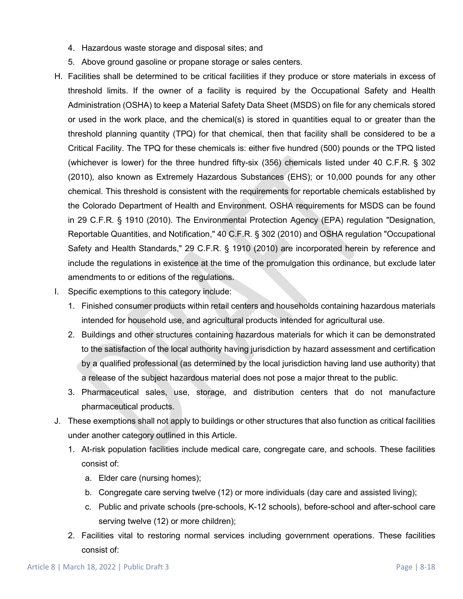- 4. Hazardous waste storage and disposal sites; and
- 5. Above ground gasoline or propane storage or sales centers.
- H. Facilities shall be determined to be critical facilities if they produce or store materials in excess of threshold limits. If the owner of a facility is required by the Occupational Safety and Health Administration (OSHA) to keep a Material Safety Data Sheet (MSDS) on file for any chemicals stored or used in the work place, and the chemical(s) is stored in quantities equal to or greater than the threshold planning quantity (TPQ) for that chemical, then that facility shall be considered to be a Critical Facility. The TPQ for these chemicals is: either five hundred (500) pounds or the TPQ listed (whichever is lower) for the three hundred fifty-six (356) chemicals listed under 40 C.F.R. § 302 (2010), also known as Extremely Hazardous Substances (EHS); or 10,000 pounds for any other chemical. This threshold is consistent with the requirements for reportable chemicals established by the Colorado Department of Health and Environment. OSHA requirements for MSDS can be found in 29 C.F.R. § 1910 (2010). The Environmental Protection Agency (EPA) regulation "Designation, Reportable Quantities, and Notification," 40 C.F.R. § 302 (2010) and OSHA regulation "Occupational Safety and Health Standards," 29 C.F.R. § 1910 (2010) are incorporated herein by reference and include the regulations in existence at the time of the promulgation this ordinance, but exclude later amendments to or editions of the regulations.
- I. Specific exemptions to this category include:
	- 1. Finished consumer products within retail centers and households containing hazardous materials intended for household use, and agricultural products intended for agricultural use.
	- 2. Buildings and other structures containing hazardous materials for which it can be demonstrated to the satisfaction of the local authority having jurisdiction by hazard assessment and certification by a qualified professional (as determined by the local jurisdiction having land use authority) that a release of the subject hazardous material does not pose a major threat to the public.
	- 3. Pharmaceutical sales, use, storage, and distribution centers that do not manufacture pharmaceutical products.
- J. These exemptions shall not apply to buildings or other structures that also function as critical facilities under another category outlined in this Article.
	- 1. At-risk population facilities include medical care, congregate care, and schools. These facilities consist of:
		- a. Elder care (nursing homes);
		- b. Congregate care serving twelve (12) or more individuals (day care and assisted living);
		- c. Public and private schools (pre-schools, K-12 schools), before-school and after-school care serving twelve (12) or more children);
	- 2. Facilities vital to restoring normal services including government operations. These facilities consist of: